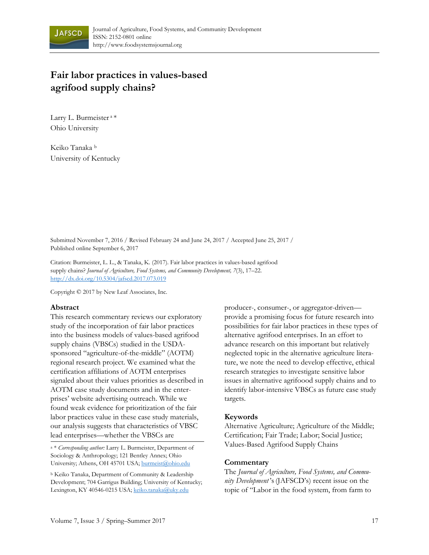

# **Fair labor practices in values-based agrifood supply chains?**

Larry L. Burmeister<sup>a\*</sup> Ohio University

Keiko Tanaka b University of Kentucky

Submitted November 7, 2016 / Revised February 24 and June 24, 2017 / Accepted June 25, 2017 / Published online September 6, 2017

Citation: Burmeister, L. L., & Tanaka, K. (2017). Fair labor practices in values-based agrifood supply chains? *Journal of Agriculture, Food Systems, and Community Development, 7*(3), 17–22. http://dx.doi.org/10.5304/jafscd.2017.073.019

Copyright © 2017 by New Leaf Associates, Inc.

### **Abstract**

This research commentary reviews our exploratory study of the incorporation of fair labor practices into the business models of values-based agrifood supply chains (VBSCs) studied in the USDAsponsored "agriculture-of-the-middle" (AOTM) regional research project. We examined what the certification affiliations of AOTM enterprises signaled about their values priorities as described in AOTM case study documents and in the enterprises' website advertising outreach. While we found weak evidence for prioritization of the fair labor practices value in these case study materials, our analysis suggests that characteristics of VBSC lead enterprises—whether the VBSCs are

a \* *Corresponding author:* Larry L. Burmeister, Department of Sociology & Anthropology; 121 Bentley Annex; Ohio University; Athens, OH 45701 USA; burmeist@ohio.edu

b Keiko Tanaka, Department of Community & Leadership Development; 704 Garrigus Building; University of Kentucky; Lexington, KY 40546-0215 USA; keiko.tanaka@uky.edu

producer-, consumer-, or aggregator-driven provide a promising focus for future research into possibilities for fair labor practices in these types of alternative agrifood enterprises. In an effort to advance research on this important but relatively neglected topic in the alternative agriculture literature, we note the need to develop effective, ethical research strategies to investigate sensitive labor issues in alternative agrifoood supply chains and to identify labor-intensive VBSCs as future case study targets.

### **Keywords**

Alternative Agriculture; Agriculture of the Middle; Certification; Fair Trade; Labor; Social Justice; Values-Based Agrifood Supply Chains

### **Commentary**

The *Journal of Agriculture, Food Systems, and Community Development* 's (JAFSCD's) recent issue on the topic of "Labor in the food system, from farm to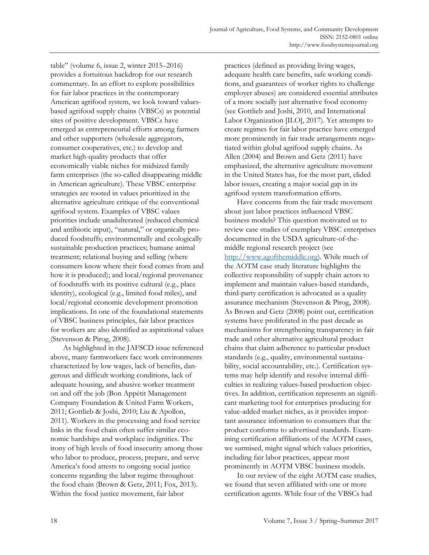table" (volume 6, issue 2, winter 2015–2016) provides a fortuitous backdrop for our research commentary. In an effort to explore possibilities for fair labor practices in the contemporary American agrifood system, we look toward valuesbased agrifood supply chains (VBSCs) as potential sites of positive development. VBSCs have emerged as entrepreneurial efforts among farmers and other supporters (wholesale aggregators, consumer cooperatives, etc.) to develop and market high-quality products that offer economically viable niches for midsized family farm enterprises (the so-called disappearing middle in American agriculture). These VBSC enterprise strategies are rooted in values prioritized in the alternative agriculture critique of the conventional agrifood system. Examples of VBSC values priorities include unadulterated (reduced chemical and antibiotic input), "natural," or organically produced foodstuffs; environmentally and ecologically sustainable production practices; humane animal treatment; relational buying and selling (where consumers know where their food comes from and how it is produced); and local/regional provenance of foodstuffs with its positive cultural (e.g., place identity), ecological (e.g., limited food miles), and local/regional economic development promotion implications. In one of the foundational statements of VBSC business principles, fair labor practices for workers are also identified as aspirational values (Stevenson & Pirog, 2008).

 As highlighted in the JAFSCD issue referenced above, many farmworkers face work environments characterized by low wages, lack of benefits, dangerous and difficult working conditions, lack of adequate housing, and abusive worker treatment on and off the job (Bon Appétit Management Company Foundation & United Farm Workers, 2011; Gottlieb & Joshi, 2010; Liu & Apollon, 2011). Workers in the processing and food service links in the food chain often suffer similar economic hardships and workplace indignities. The irony of high levels of food insecurity among those who labor to produce, process, prepare, and serve America's food attests to ongoing social justice concerns regarding the labor regime throughout the food chain (Brown & Getz, 2011; Fox, 2013). Within the food justice movement, fair labor

practices (defined as providing living wages, adequate health care benefits, safe working conditions, and guarantees of worker rights to challenge employer abuses) are considered essential attributes of a more socially just alternative food economy (see Gottlieb and Joshi, 2010, and International Labor Organization [ILO], 2017). Yet attempts to create regimes for fair labor practice have emerged more prominently in fair trade arrangements negotiated within global agrifood supply chains. As Allen (2004) and Brown and Getz (2011) have emphasized, the alternative agriculture movement in the United States has, for the most part, elided labor issues, creating a major social gap in its agrifood system transformation efforts.

 Have concerns from the fair trade movement about just labor practices influenced VBSC business models? This question motivated us to review case studies of exemplary VBSC enterprises documented in the USDA agriculture-of-themiddle regional research project (see http://www.agofthemiddle.org). While much of the AOTM case study literature highlights the collective responsibility of supply chain actors to implement and maintain values-based standards, third-party certification is advocated as a quality assurance mechanism (Stevenson & Pirog, 2008). As Brown and Getz (2008) point out, certification systems have proliferated in the past decade as mechanisms for strengthening transparency in fair trade and other alternative agricultural product chains that claim adherence to particular product standards (e.g., quality, environmental sustainability, social accountability, etc.). Certification systems may help identify and resolve internal difficulties in realizing values-based production objectives. In addition, certification represents an significant marketing tool for enterprises producing for value-added market niches, as it provides important assurance information to consumers that the product conforms to advertised standards. Examining certification affiliations of the AOTM cases, we surmised, might signal which values priorities, including fair labor practices, appear most prominently in AOTM VBSC business models.

 In our review of the eight AOTM case studies, we found that seven affiliated with one or more certification agents. While four of the VBSCs had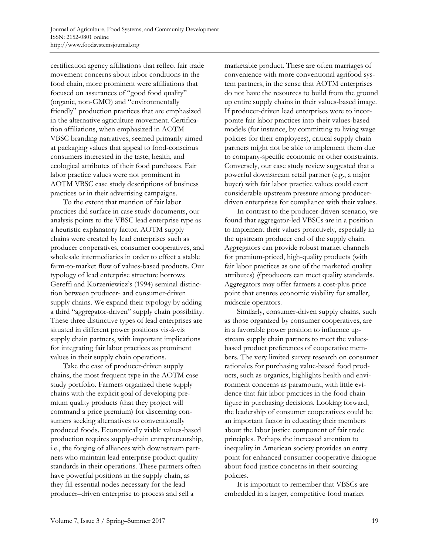certification agency affiliations that reflect fair trade movement concerns about labor conditions in the food chain, more prominent were affiliations that focused on assurances of "good food quality" (organic, non-GMO) and "environmentally friendly" production practices that are emphasized in the alternative agriculture movement. Certification affiliations, when emphasized in AOTM VBSC branding narratives, seemed primarily aimed at packaging values that appeal to food-conscious consumers interested in the taste, health, and ecological attributes of their food purchases. Fair labor practice values were not prominent in AOTM VBSC case study descriptions of business practices or in their advertising campaigns.

 To the extent that mention of fair labor practices did surface in case study documents, our analysis points to the VBSC lead enterprise type as a heuristic explanatory factor. AOTM supply chains were created by lead enterprises such as producer cooperatives, consumer cooperatives, and wholesale intermediaries in order to effect a stable farm-to-market flow of values-based products. Our typology of lead enterprise structure borrows Gereffi and Korzeniewicz's (1994) seminal distinction between producer- and consumer-driven supply chains. We expand their typology by adding a third "aggregator-driven" supply chain possibility. These three distinctive types of lead enterprises are situated in different power positions vis-à-vis supply chain partners, with important implications for integrating fair labor practices as prominent values in their supply chain operations.

 Take the case of producer-driven supply chains, the most frequent type in the AOTM case study portfolio. Farmers organized these supply chains with the explicit goal of developing premium quality products (that they project will command a price premium) for discerning consumers seeking alternatives to conventionally produced foods. Economically viable values-based production requires supply-chain entrepreneurship, i.e., the forging of alliances with downstream partners who maintain lead enterprise product quality standards in their operations. These partners often have powerful positions in the supply chain, as they fill essential nodes necessary for the lead producer–driven enterprise to process and sell a

marketable product. These are often marriages of convenience with more conventional agrifood system partners, in the sense that AOTM enterprises do not have the resources to build from the ground up entire supply chains in their values-based image. If producer-driven lead enterprises were to incorporate fair labor practices into their values-based models (for instance, by committing to living wage policies for their employees), critical supply chain partners might not be able to implement them due to company-specific economic or other constraints. Conversely, our case study review suggested that a powerful downstream retail partner (e.g., a major buyer) with fair labor practice values could exert considerable upstream pressure among producerdriven enterprises for compliance with their values.

 In contrast to the producer-driven scenario, we found that aggregator-led VBSCs are in a position to implement their values proactively, especially in the upstream producer end of the supply chain. Aggregators can provide robust market channels for premium-priced, high-quality products (with fair labor practices as one of the marketed quality attributes) *if* producers can meet quality standards. Aggregators may offer farmers a cost-plus price point that ensures economic viability for smaller, midscale operators.

 Similarly, consumer-driven supply chains, such as those organized by consumer cooperatives, are in a favorable power position to influence upstream supply chain partners to meet the valuesbased product preferences of cooperative members. The very limited survey research on consumer rationales for purchasing value-based food products, such as organics, highlights health and environment concerns as paramount, with little evidence that fair labor practices in the food chain figure in purchasing decisions. Looking forward, the leadership of consumer cooperatives could be an important factor in educating their members about the labor justice component of fair trade principles. Perhaps the increased attention to inequality in American society provides an entry point for enhanced consumer cooperative dialogue about food justice concerns in their sourcing policies.

 It is important to remember that VBSCs are embedded in a larger, competitive food market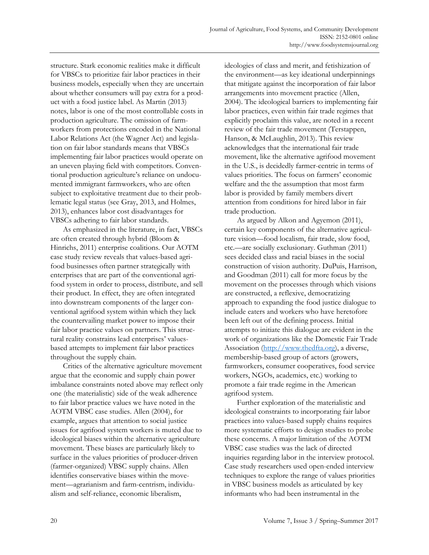structure. Stark economic realities make it difficult for VBSCs to prioritize fair labor practices in their business models, especially when they are uncertain about whether consumers will pay extra for a product with a food justice label. As Martin (2013) notes, labor is one of the most controllable costs in production agriculture. The omission of farmworkers from protections encoded in the National Labor Relations Act (the Wagner Act) and legislation on fair labor standards means that VBSCs implementing fair labor practices would operate on an uneven playing field with competitors. Conventional production agriculture's reliance on undocumented immigrant farmworkers, who are often subject to exploitative treatment due to their problematic legal status (see Gray, 2013, and Holmes, 2013), enhances labor cost disadvantages for VBSCs adhering to fair labor standards.

 As emphasized in the literature, in fact, VBSCs are often created through hybrid (Bloom & Hinrichs, 2011) enterprise coalitions. Our AOTM case study review reveals that values-based agrifood businesses often partner strategically with enterprises that are part of the conventional agrifood system in order to process, distribute, and sell their product. In effect, they are often integrated into downstream components of the larger conventional agrifood system within which they lack the countervailing market power to impose their fair labor practice values on partners. This structural reality constrains lead enterprises' valuesbased attempts to implement fair labor practices throughout the supply chain.

 Critics of the alternative agriculture movement argue that the economic and supply chain power imbalance constraints noted above may reflect only one (the materialistic) side of the weak adherence to fair labor practice values we have noted in the AOTM VBSC case studies. Allen (2004), for example, argues that attention to social justice issues for agrifood system workers is muted due to ideological biases within the alternative agriculture movement. These biases are particularly likely to surface in the values priorities of producer-driven (farmer-organized) VBSC supply chains. Allen identifies conservative biases within the movement—agrarianism and farm-centrism, individualism and self-reliance, economic liberalism,

ideologies of class and merit, and fetishization of the environment—as key ideational underpinnings that mitigate against the incorporation of fair labor arrangements into movement practice (Allen, 2004). The ideological barriers to implementing fair labor practices, even within fair trade regimes that explicitly proclaim this value, are noted in a recent review of the fair trade movement (Terstappen, Hanson, & McLaughlin, 2013). This review acknowledges that the international fair trade movement, like the alternative agrifood movement in the U.S., is decidedly farmer-centric in terms of values priorities. The focus on farmers' economic welfare and the the assumption that most farm labor is provided by family members divert attention from conditions for hired labor in fair trade production.

 As argued by Alkon and Agyemon (2011), certain key components of the alternative agriculture vision—food localism, fair trade, slow food, etc.—are socially exclusionary. Guthman (2011) sees decided class and racial biases in the social construction of vision authority. DuPuis, Harrison, and Goodman (2011) call for more focus by the movement on the processes through which visions are constructed, a reflexive, democratizing approach to expanding the food justice dialogue to include eaters and workers who have heretofore been left out of the defining process. Initial attempts to initiate this dialogue are evident in the work of organizations like the Domestic Fair Trade Association (http://www.thedfta.org), a diverse, membership-based group of actors (growers, farmworkers, consumer cooperatives, food service workers, NGOs, academics, etc.) working to promote a fair trade regime in the American agrifood system.

 Further exploration of the materialistic and ideological constraints to incorporating fair labor practices into values-based supply chains requires more systematic efforts to design studies to probe these concerns. A major limitation of the AOTM VBSC case studies was the lack of directed inquiries regarding labor in the interview protocol. Case study researchers used open-ended interview techniques to explore the range of values priorities in VBSC business models as articulated by key informants who had been instrumental in the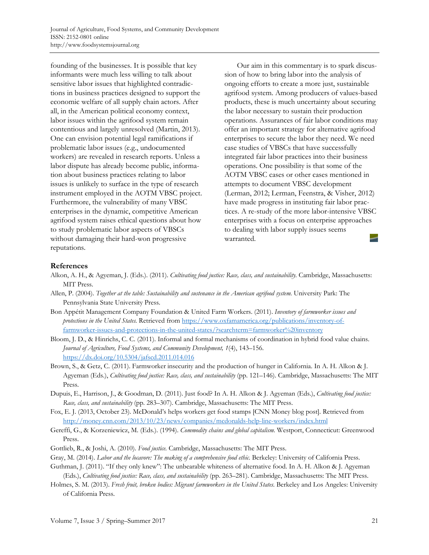founding of the businesses. It is possible that key informants were much less willing to talk about sensitive labor issues that highlighted contradictions in business practices designed to support the economic welfare of all supply chain actors. After all, in the American political economy context, labor issues within the agrifood system remain contentious and largely unresolved (Martin, 2013). One can envision potential legal ramifications if problematic labor issues (e.g., undocumented workers) are revealed in research reports. Unless a labor dispute has already become public, information about business practices relating to labor issues is unlikely to surface in the type of research instrument employed in the AOTM VBSC project. Furthermore, the vulnerability of many VBSC enterprises in the dynamic, competitive American agrifood system raises ethical questions about how to study problematic labor aspects of VBSCs without damaging their hard-won progressive reputations.

 Our aim in this commentary is to spark discussion of how to bring labor into the analysis of ongoing efforts to create a more just, sustainable agrifood system. Among producers of values-based products, these is much uncertainty about securing the labor necessary to sustain their production operations. Assurances of fair labor conditions may offer an important strategy for alternative agrifood enterprises to secure the labor they need. We need case studies of VBSCs that have successfully integrated fair labor practices into their business operations. One possibility is that some of the AOTM VBSC cases or other cases mentioned in attempts to document VBSC development (Lerman, 2012; Lerman, Feenstra, & Visher, 2012) have made progress in instituting fair labor practices. A re-study of the more labor-intensive VBSC enterprises with a focus on enterprise approaches to dealing with labor supply issues seems warranted.

## **References**

- Alkon, A. H., & Agyeman, J. (Eds.). (2011). *Cultivating food justice: Race, class, and sustainability.* Cambridge, Massachusetts: MIT Press.
- Allen, P. (2004). *Together at the table: Sustainability and sustenance in the American agrifood system.* University Park: The Pennsylvania State University Press.
- Bon [Appétit Management Company Foundation & United Farm Workers. \(2011\).](https://www.oxfamamerica.org/publications/inventory-of-farmworker-issues-and-protections-in-the-united-states/?searchterm=farmworker%20inventory) *Inventory of farmworker issues and protections in the United States.* Retrieved from https://www.oxfamamerica.org/publications/inventory-offarmworker-issues-and-protections-in-the-united-states/?searchterm=farmworker%20inventory
- Bloom, J. D., & Hinrichs, C. C. (2011). Informal and formal mechanisms of coordination in hybrid food value chains. *Journal of Agriculture, Food Systems, and Community Development, 1*(4), 143–156. https://dx.doi.org/10.5304/jafscd.2011.014.016
- Brown, S., & Getz, C. (2011). Farmworker insecurity and the production of hunger in California. In A. H. Alkon & J. Agyeman (Eds.), *Cultivating food justice: Race, class, and sustainability* (pp. 121–146). Cambridge, Massachusetts: The MIT Press.
- Dupuis, E., Harrison, J., & Goodman, D. (2011). Just food? In A. H. Alkon & J. Agyeman (Eds.), *Cultivating food justice: Race, class, and sustainability* (pp. 283–307). Cambridge, Massachusetts: The MIT Press.
- Fox, E. J. (2013, October 23). McDonald's helps workers get food stamps [CNN Money blog post]. Retrieved from http://money.cnn.com/2013/10/23/news/companies/mcdonalds-help-line-workers/index.html
- Gereffi, G., & Korzeniewicz, M. (Eds.). (1994). *Commodity chains and global capitalism.* Westport, Connecticut: Greenwood Press.
- Gottlieb, R., & Joshi, A. (2010). *Food justice.* Cambridge, Massachusetts: The MIT Press.
- Gray, M. (2014). *Labor and the locavore: The making of a comprehensive food ethic.* Berkeley: University of California Press.
- Guthman, J. (2011). "If they only knew": The unbearable whiteness of alternative food. In A. H. Alkon & J. Agyeman (Eds.), *Cultivating food justice: Race, class, and sustainability* (pp. 263–281). Cambridge, Massachusetts: The MIT Press.
- Holmes, S. M. (2013). *Fresh fruit, broken bodies: Migrant farmworkers in the United States.* Berkeley and Los Angeles: University of California Press.